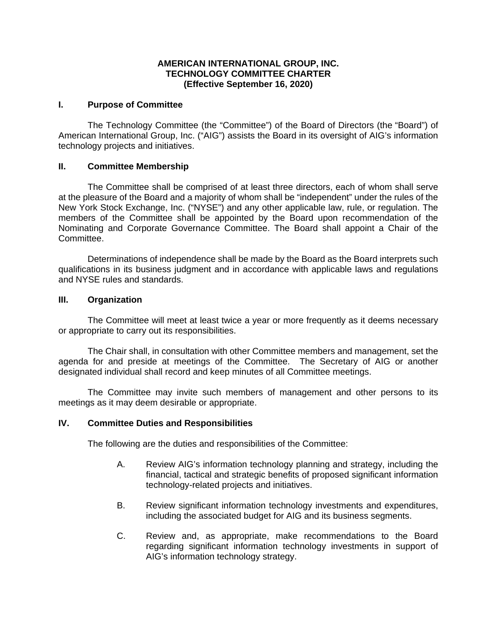### **AMERICAN INTERNATIONAL GROUP, INC. TECHNOLOGY COMMITTEE CHARTER (Effective September 16, 2020)**

### **I. Purpose of Committee**

The Technology Committee (the "Committee") of the Board of Directors (the "Board") of American International Group, Inc. ("AIG") assists the Board in its oversight of AIG's information technology projects and initiatives.

## **II. Committee Membership**

The Committee shall be comprised of at least three directors, each of whom shall serve at the pleasure of the Board and a majority of whom shall be "independent" under the rules of the New York Stock Exchange, Inc. ("NYSE") and any other applicable law, rule, or regulation. The members of the Committee shall be appointed by the Board upon recommendation of the Nominating and Corporate Governance Committee. The Board shall appoint a Chair of the Committee.

Determinations of independence shall be made by the Board as the Board interprets such qualifications in its business judgment and in accordance with applicable laws and regulations and NYSE rules and standards.

## **III. Organization**

The Committee will meet at least twice a year or more frequently as it deems necessary or appropriate to carry out its responsibilities.

The Chair shall, in consultation with other Committee members and management, set the agenda for and preside at meetings of the Committee. The Secretary of AIG or another designated individual shall record and keep minutes of all Committee meetings.

The Committee may invite such members of management and other persons to its meetings as it may deem desirable or appropriate.

### **IV. Committee Duties and Responsibilities**

The following are the duties and responsibilities of the Committee:

- A. Review AIG's information technology planning and strategy, including the financial, tactical and strategic benefits of proposed significant information technology-related projects and initiatives.
- B. Review significant information technology investments and expenditures, including the associated budget for AIG and its business segments.
- C. Review and, as appropriate, make recommendations to the Board regarding significant information technology investments in support of AIG's information technology strategy.